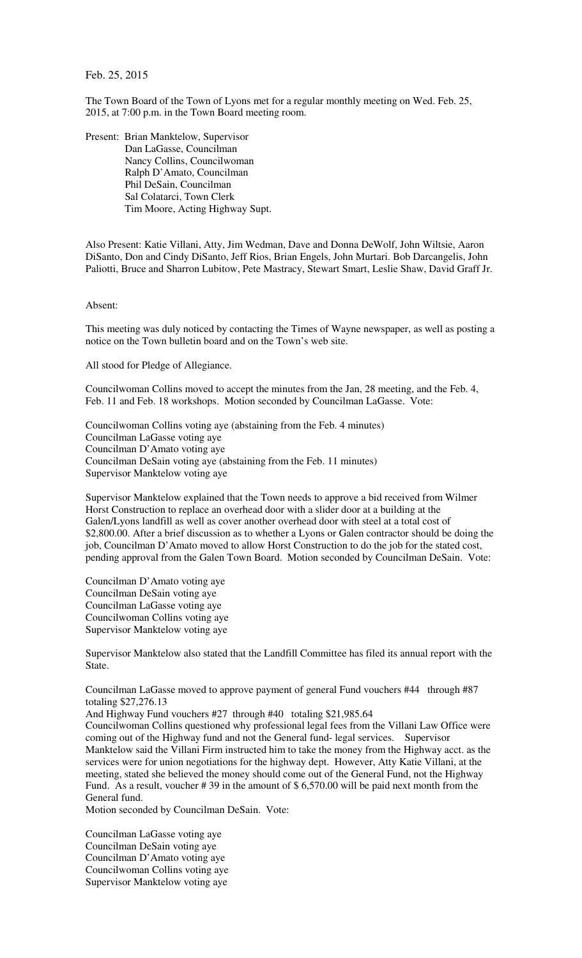Feb. 25, 2015

The Town Board of the Town of Lyons met for a regular monthly meeting on Wed. Feb. 25, 2015, at 7:00 p.m. in the Town Board meeting room.

Present: Brian Manktelow, Supervisor Dan LaGasse, Councilman Nancy Collins, Councilwoman Ralph D'Amato, Councilman Phil DeSain, Councilman Sal Colatarci, Town Clerk Tim Moore, Acting Highway Supt.

Also Present: Katie Villani, Atty, Jim Wedman, Dave and Donna DeWolf, John Wiltsie, Aaron DiSanto, Don and Cindy DiSanto, Jeff Rios, Brian Engels, John Murtari. Bob Darcangelis, John Paliotti, Bruce and Sharron Lubitow, Pete Mastracy, Stewart Smart, Leslie Shaw, David Graff Jr.

## Absent:

This meeting was duly noticed by contacting the Times of Wayne newspaper, as well as posting a notice on the Town bulletin board and on the Town's web site.

All stood for Pledge of Allegiance.

Councilwoman Collins moved to accept the minutes from the Jan, 28 meeting, and the Feb. 4, Feb. 11 and Feb. 18 workshops. Motion seconded by Councilman LaGasse. Vote:

Councilwoman Collins voting aye (abstaining from the Feb. 4 minutes) Councilman LaGasse voting aye Councilman D'Amato voting aye Councilman DeSain voting aye (abstaining from the Feb. 11 minutes) Supervisor Manktelow voting aye

Supervisor Manktelow explained that the Town needs to approve a bid received from Wilmer Horst Construction to replace an overhead door with a slider door at a building at the Galen/Lyons landfill as well as cover another overhead door with steel at a total cost of \$2,800.00. After a brief discussion as to whether a Lyons or Galen contractor should be doing the job, Councilman D'Amato moved to allow Horst Construction to do the job for the stated cost, pending approval from the Galen Town Board. Motion seconded by Councilman DeSain. Vote:

Councilman D'Amato voting aye Councilman DeSain voting aye Councilman LaGasse voting aye Councilwoman Collins voting aye Supervisor Manktelow voting aye

Supervisor Manktelow also stated that the Landfill Committee has filed its annual report with the State.

Councilman LaGasse moved to approve payment of general Fund vouchers #44 through #87 totaling \$27,276.13

And Highway Fund vouchers #27 through #40 totaling \$21,985.64 Councilwoman Collins questioned why professional legal fees from the Villani Law Office were coming out of the Highway fund and not the General fund- legal services. Supervisor Manktelow said the Villani Firm instructed him to take the money from the Highway acct. as the services were for union negotiations for the highway dept. However, Atty Katie Villani, at the meeting, stated she believed the money should come out of the General Fund, not the Highway Fund. As a result, voucher # 39 in the amount of \$ 6,570.00 will be paid next month from the General fund.

Motion seconded by Councilman DeSain. Vote:

Councilman LaGasse voting aye Councilman DeSain voting aye Councilman D'Amato voting aye Councilwoman Collins voting aye Supervisor Manktelow voting aye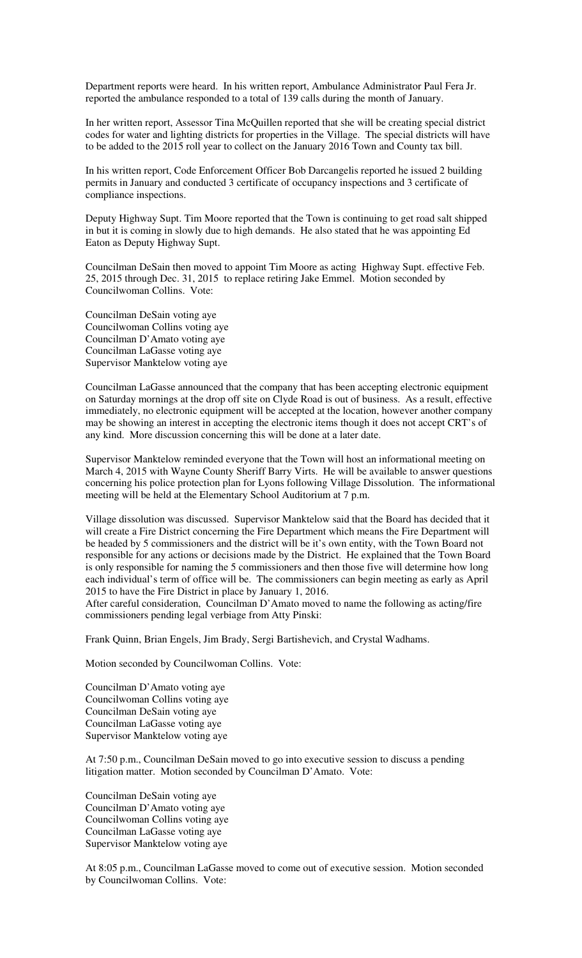Department reports were heard. In his written report, Ambulance Administrator Paul Fera Jr. reported the ambulance responded to a total of 139 calls during the month of January.

In her written report, Assessor Tina McQuillen reported that she will be creating special district codes for water and lighting districts for properties in the Village. The special districts will have to be added to the 2015 roll year to collect on the January 2016 Town and County tax bill.

In his written report, Code Enforcement Officer Bob Darcangelis reported he issued 2 building permits in January and conducted 3 certificate of occupancy inspections and 3 certificate of compliance inspections.

Deputy Highway Supt. Tim Moore reported that the Town is continuing to get road salt shipped in but it is coming in slowly due to high demands. He also stated that he was appointing Ed Eaton as Deputy Highway Supt.

Councilman DeSain then moved to appoint Tim Moore as acting Highway Supt. effective Feb. 25, 2015 through Dec. 31, 2015 to replace retiring Jake Emmel. Motion seconded by Councilwoman Collins. Vote:

Councilman DeSain voting aye Councilwoman Collins voting aye Councilman D'Amato voting aye Councilman LaGasse voting aye Supervisor Manktelow voting aye

Councilman LaGasse announced that the company that has been accepting electronic equipment on Saturday mornings at the drop off site on Clyde Road is out of business. As a result, effective immediately, no electronic equipment will be accepted at the location, however another company may be showing an interest in accepting the electronic items though it does not accept CRT's of any kind. More discussion concerning this will be done at a later date.

Supervisor Manktelow reminded everyone that the Town will host an informational meeting on March 4, 2015 with Wayne County Sheriff Barry Virts. He will be available to answer questions concerning his police protection plan for Lyons following Village Dissolution. The informational meeting will be held at the Elementary School Auditorium at 7 p.m.

Village dissolution was discussed. Supervisor Manktelow said that the Board has decided that it will create a Fire District concerning the Fire Department which means the Fire Department will be headed by 5 commissioners and the district will be it's own entity, with the Town Board not responsible for any actions or decisions made by the District. He explained that the Town Board is only responsible for naming the 5 commissioners and then those five will determine how long each individual's term of office will be. The commissioners can begin meeting as early as April 2015 to have the Fire District in place by January 1, 2016.

After careful consideration, Councilman D'Amato moved to name the following as acting/fire commissioners pending legal verbiage from Atty Pinski:

Frank Quinn, Brian Engels, Jim Brady, Sergi Bartishevich, and Crystal Wadhams.

Motion seconded by Councilwoman Collins. Vote:

Councilman D'Amato voting aye Councilwoman Collins voting aye Councilman DeSain voting aye Councilman LaGasse voting aye Supervisor Manktelow voting aye

At 7:50 p.m., Councilman DeSain moved to go into executive session to discuss a pending litigation matter. Motion seconded by Councilman D'Amato. Vote:

Councilman DeSain voting aye Councilman D'Amato voting aye Councilwoman Collins voting aye Councilman LaGasse voting aye Supervisor Manktelow voting aye

At 8:05 p.m., Councilman LaGasse moved to come out of executive session. Motion seconded by Councilwoman Collins. Vote: